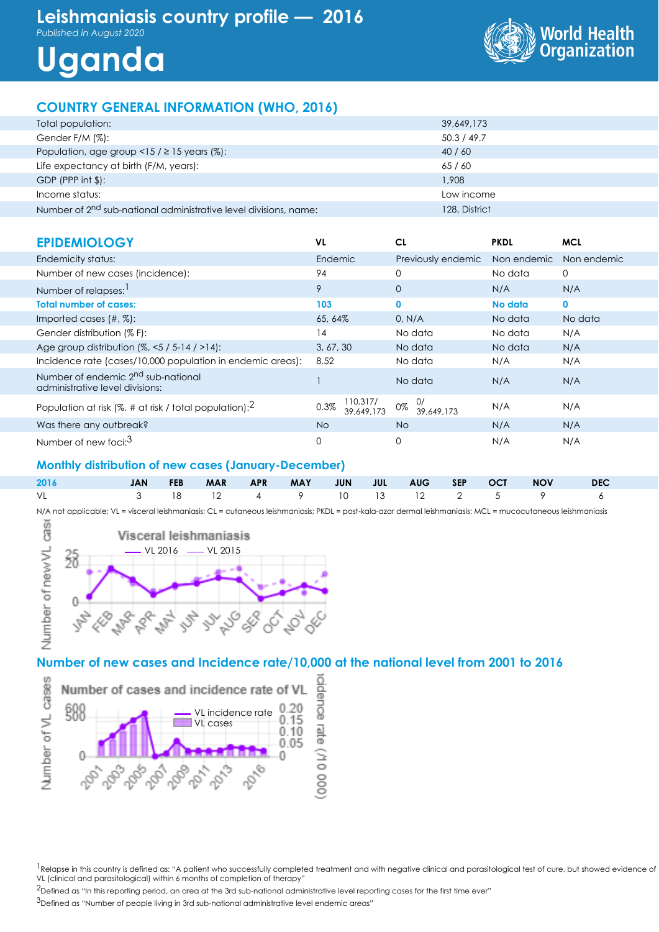# **Leishmaniasis country profile — 2016**

*Published in August 2020*





## **COUNTRY GENERAL INFORMATION (WHO, 2016)**

| Total population:                                                            | 39,649,173    |
|------------------------------------------------------------------------------|---------------|
| Gender F/M (%):                                                              | 50.3 / 49.7   |
| Population, age group <15 / $\geq$ 15 years (%):                             | 40/60         |
| Life expectancy at birth (F/M, years):                                       | 65 / 60       |
| GDP (PPP int $\frac{1}{2}$ ):                                                | 1,908         |
| Income status:                                                               | Low income    |
| Number of 2 <sup>nd</sup> sub-national administrative level divisions, name: | 128, District |

| <b>EPIDEMIOLOGY</b>                                                               | VL                             | CL                     | <b>PKDL</b> | <b>MCL</b>   |
|-----------------------------------------------------------------------------------|--------------------------------|------------------------|-------------|--------------|
| Endemicity status:                                                                | Endemic                        | Previously endemic     | Non endemic | Non endemic  |
| Number of new cases (incidence):                                                  | 94                             | 0                      | No data     | 0            |
| Number of relapses:                                                               | 9                              | $\overline{0}$         | N/A         | N/A          |
| <b>Total number of cases:</b>                                                     | 103                            | 0                      | No data     | $\mathbf{0}$ |
| Imported cases $(\#,\%)$ :                                                        | 65, 64%                        | 0, N/A                 | No data     | No data      |
| Gender distribution (% F):                                                        | 14                             | No data                | No data     | N/A          |
| Age group distribution $(%,-5/5-14/>14)$ :                                        | 3, 67, 30                      | No data                | No data     | N/A          |
| Incidence rate (cases/10,000 population in endemic areas):                        | 8.52                           | No data                | N/A         | N/A          |
| Number of endemic 2 <sup>nd</sup> sub-national<br>administrative level divisions: |                                | No data                | N/A         | N/A          |
| Population at risk (%, # at risk / total population): $^2$                        | 110,317/<br>0.3%<br>39.649.173 | 0/<br>0%<br>39.649.173 | N/A         | N/A          |
| Was there any outbreak?                                                           | No.                            | <b>No</b>              | N/A         | N/A          |
| Number of new foci: <sup>3</sup>                                                  | $\Omega$                       | 0                      | N/A         | N/A          |

#### **Monthly distribution of new cases (January-December)**

|  |  |  |  |  | 3 18 12 4 9 10 13 12 2 5 9 6 |  |
|--|--|--|--|--|------------------------------|--|

N/A not applicable; VL = visceral leishmaniasis; CL = cutaneous leishmaniasis; PKDL = post-kala-azar dermal leishmaniasis; MCL = mucocutaneous leishmaniasis



#### **Number of new cases and Incidence rate/10,000 at the national level from 2001 to 2016**



<sup>1</sup>Relapse in this country is defined as: "A patient who successfully completed treatment and with negative clinical and parasitological test of cure, but showed evidence of VL (clinical and parasitological) within 6 months of completion of therapy"

<sup>2</sup>Defined as "In this reporting period, an area at the 3rd sub-national administrative level reporting cases for the first time ever"

3Defined as "Number of people living in 3rd sub-national administrative level endemic areas"